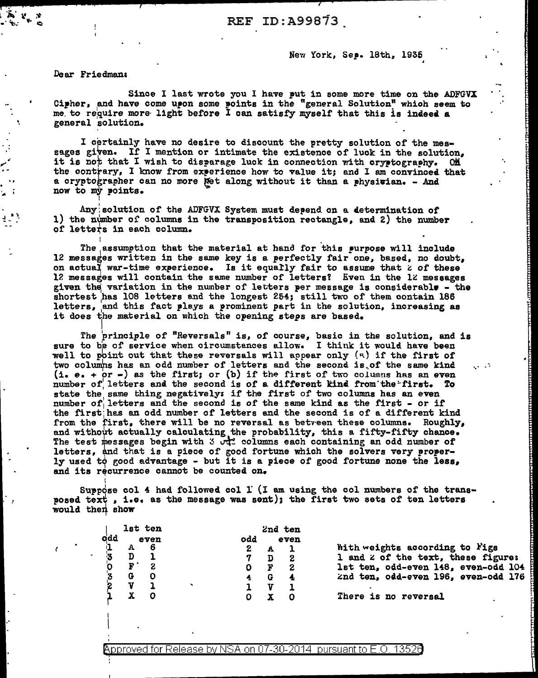New York, Sep. 18th, 1935

Dear Friedman:

I

· ...

Since I last wrote you I have put in some more time on the ADFGVX Cipher, and have come upon some points in the "general Solution" which seem to me to require more light before I can satisfy myself that this is indeed a general solution.

I certainly have no desire to discount the pretty solution of the messages given. If I mention or intimate the existence of luck in the solution, it is not that I wish to disparage luck in connection with cryptography. ON the contrary, I know from experience how to value it; and I am convinced that a cryptographer can no more Net along without it than a physician. - And now to my points.

Any: solution of the ADFGVX System must depend on a determination of 1) the number of columns in the transposition rectangle, and 2) the number of letters in each column.

The assumption that the material at hand for this purpose will include 12 messages written in the same key is a perfectly fair one, based, no doubt, on actual war-time experience. Is it equally fair to assume that  $z$  of these 12 messages will contain the same number of letters? Even in the 12 messages given the variation in the number of letters per message is considerable - the given the variation in the number of feoters per message is considerable letters. 1 and this fact plays a prominent part in the solution, increasing as it does the material on which the opening steps are based.

The principle of "Reversals" is, of course, basic in the solution, and is sure to be of service when circumstances allow. I think it would have been well to point out that these reversals will appear only  $(a)$  if the first of two columns has an odd number of letters and the second is of the same kind (i. e. +  $\circ$ r -) as the first; or (b) if the first of two columns has an even number of letters and the second is of a different kind from the first. state the same thing negatively: if the first of two columns has an even number of letters and the second is of the same kind as the first - or if the first; has an odd number or letters and the second is or a different kind from the first, there will be no reversal as between these columns. Roughly, and without actually calculating the probability, this a fifty-fifty chance. The test messages begin with 3  $\sigma_{\alpha}^{+}$  columns each containing an odd number of letters, and that is a piece of good fortune which the solvers very properly used to good advantage - but it is a piece of good fortune none the less, and its recurrence cannot be counted on. ·.· ...

Suppose col 4 had followed col  $\Gamma$  (I am using the col numbers of the transposed text , i.e. as the message was sent); the first two sets of ten letters would then show

|     |   | lst ten |    | 2nd ten |   |      |  |  |
|-----|---|---------|----|---------|---|------|--|--|
| odd |   | even    |    | odd     |   | even |  |  |
|     |   | 6       |    | 2       |   |      |  |  |
| 3   |   |         |    |         |   | 2    |  |  |
|     | F | 2.      |    |         | F | 2    |  |  |
| 3   | G |         |    |         |   |      |  |  |
| 2   |   |         | ۰. |         | u |      |  |  |
|     |   |         |    |         |   |      |  |  |

i<br>| \_\_\_\_\_

Whith weights according to Figs 1 and  $z$  of the text, these figure: 1st ten, odd-even 148, even-odd 104 2nd ten, odd-even 196, even-odd 176 <u>. بالتانات</u> r· i<br>I

·.

f:  $\mathbf{r}$ !:

!

1: [

~: t

There is no reversal

Approved for Release by NSA on 07-30-2014  $\,$  pursuant to E.O. 13526  $\,$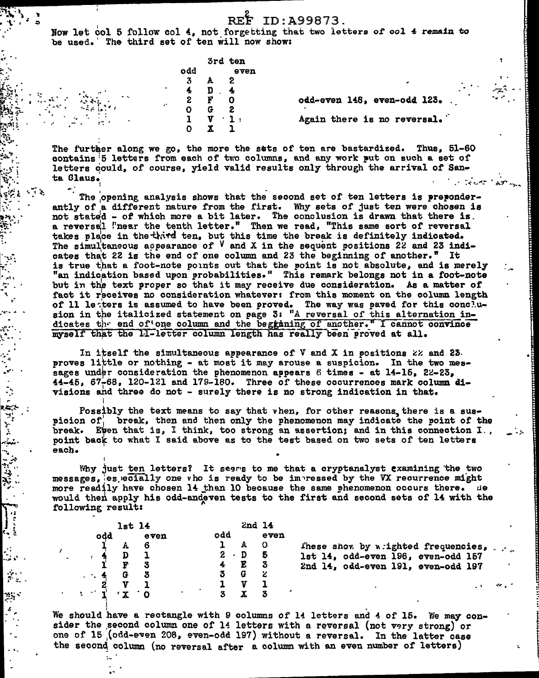Now let col 5 follow col 4, not forgetting that two letters of col 4 remain to be used. The third set of ten will now show:

|    |        | 3rd ten |
|----|--------|---------|
| dd |        | even    |
| 3  | А      | 2       |
| ſ, | D      | 4       |
| 2  | F      | 0       |
|    | G      | S       |
| l  | ٠<br>U | ı       |
| ר  |        |         |

odd-even 148, even-odd 123. Again there is no reversal.

The further along we go, the more the sats of ten are bastardized. Thus, 51-60 contains 5 letters from each of two columns, and any work put on such a set of letters could, of course, yield valid results only through the arrival of Santa Claus.

The opening analysis shows that the second set of ten letters is preponderantly of a different nature from the first. Why sets of just ten were chosen is not stated - of which more a bit later. The conclusion is drawn that there is. a reversel "near the tenth letter." Then we read, "This same sort of reversal takes place in the third ten, but this time the break is definitely indicated.<br>The simultaneous appearance of  $V$  and X in the sequent positions 22 and 23 indicates that 22 is the end of one column and 23 the beginning of another." It is true that a foot-note points out that the point is not absolute, and is merely "an indication based upon probabilities." This remark belongs not in a foot-note but in the text proper so that it may receive due consideration. As a matter of fact it receives no consideration whatever: from this moment on the column length of 11 lesters is assumed to have been proved. The way was paved for this conclusion in the italicized statement on page 3: "A reversal of this alternation indicates the end of one column and the begganing of another." I cannot convince myself that the 11-letter column length has really been proved at all.

In itself the simultaneous appearance of  $V$  and  $X$  in positions  $22$  and  $23$ . proves little or nothing - at most it may arouse a suspicion. In the two messages under consideration the phenomenon appears 6 times - at 14-15, 22-23, 44-45. 67-68. 120-121 and 179-180. Three of these occurrences mark column divisions and three do not - surely there is no strong indication in that.

Possibly the text means to say that vhen, for other reasons, there is a suspicion of break, then and then only the phenomenon may indicate the point of the break. Even that is, I think, too strong an assertion; and in this connection I. point back to what I said above as to the test based on two sets of ten letters each.

Why just ten letters? It seems to me that a cryptanalyst examining the two messages, es ecially one vho is ready to be impressed by the VX recurrence might more readily have chosen 14 than 10 because the same phenomenon occurs there. He would then apply his odd-andeven tests to the first and second sets of 14 with the following result:

|     | $1st$ 14 |      |     |             | $2nd$ 14 |                                     |
|-----|----------|------|-----|-------------|----------|-------------------------------------|
| odd |          | even | odd |             | even     |                                     |
|     |          |      |     |             | $\Omega$ | These show by wrighted frequencies, |
|     |          |      |     | $2 \cdot D$ | -5       | 1st 14, odd-even 196, even-odd 157  |
|     |          |      |     | Е           |          | 2nd 14, odd-even 191, even-odd 197  |
|     |          |      |     |             |          |                                     |
|     |          |      |     |             |          |                                     |
|     |          |      |     |             |          |                                     |

We should have a rectangle with 9 columns of 14 letters and 4 of 15. We may consider the second column one of 14 letters with a reversal (not very strong) or one of 15 (odd-even 208, even-odd 197) without a reversal. In the latter case the second column (no reversal after a column with an even number of letters)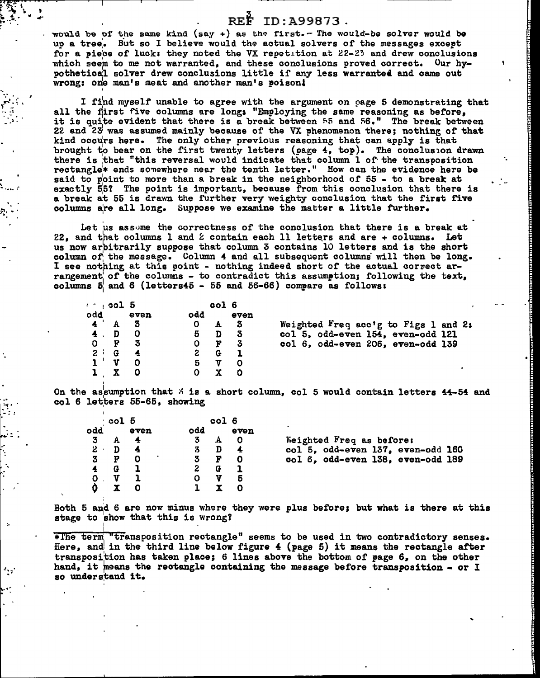## REF ID: A99873.

would be of the same kind (say +) as the first. - The would-be solver would be up a tree. But so I believe would the actual solvers of the messages except for a piece of luck: they noted the VX repetition at 22-23 and drew conclusions which seem to me not warranted, and these conclusions proved correct. Our hypothetical solver drew conclusions little if any less warranted and came out wrong: one man's meat and another man's poison!

I find myself unable to agree with the argument on cage 5 demonstrating that all the first five columns are long; "Employing the same reasoning as before. it is quite evident that there is a break between 55 and 56." The break between 22 and 23 was assumed mainly because of the VX phenomenon there; nothing of that kind occurs here. The only other previous reasoning that can apply is that brought to bear on the first twenty letters (page 4, top). The conclusion drawn there is that "this reversal would indicate that column 1 of the transposition rectangle\* ends somewhere near the tenth letter." How can the evidence here be said to point to more than a break in the neighborhood of 55 - to a break at exactly 55? The point is important, because from this conclusion that there is a break at 55 is drawn the further very weighty conclusion that the first five columns are all long. Suppose we examine the matter a little further.

Let us assome the correctness of the conclusion that there is a break at 22. and that columns 1 and 2 contain each 11 letters and are + columns. Let us now arbitrarily suppose that column 3 contains 10 letters and is the short column of the message. Column 4 and all subsequent columns will then be long. I see nothing at this point - nothing indeed short of the actual correct arrangement of the columns - to contradict this assumption; following the text, columns  $5^{\circ}$  and 6 (letters45 - 55 and 56-66) compare as follows:

| $\sim$ $\sim$ $\sim$ $\sim$ $\sim$ $\sim$ $\sim$ |   |               |     | col 6 |      |                                      |
|--------------------------------------------------|---|---------------|-----|-------|------|--------------------------------------|
| odd                                              |   | even          | odd |       | even |                                      |
|                                                  |   | 3             | О   |       | 3    | Weighted Freq acc'g to Figs 1 and 2: |
|                                                  |   | O             | 5   | D     |      | col 5, odd-even 154, even-odd 121    |
| $O$ F                                            |   | - 3           |     | r     | -3   | col 6, odd-even 206, even-odd 139    |
| 2 i                                              | G | $\frac{1}{2}$ | 2   | G     |      |                                      |
|                                                  |   |               | 5   |       |      |                                      |
|                                                  |   |               |     |       |      |                                      |

On the assumption that  $\frac{1}{2}$  is a short column, col 5 would contain letters 44-54 and col 6 letters 55-65, showing

|             | ∙col 5 |      |     | col 6 |      |                                   |
|-------------|--------|------|-----|-------|------|-----------------------------------|
| odd         |        | even | odd |       | even |                                   |
|             | A      |      | 3.  |       |      | Weighted Freq as before:          |
| $2^{\circ}$ | D      |      | 3   | D     |      | col 5, odd-even 137, even-odd 160 |
|             | F      |      |     | F     | 0    | col 6, odd-even 138, even-odd 189 |
|             |        |      |     | G     |      |                                   |
|             |        |      |     |       | 5    |                                   |
|             |        |      |     |       |      |                                   |

Both 5 and 6 are now minus where they were plus before; but what is there at this stage to show that this is wrong?

\*The term "transposition rectangle" seems to be used in two contradictory senses. Here, and in the third line below figure  $4$  (page 5) it means the rectangle after transposition has taken place; 6 lines above the bottom of page 6, on the other hand, it means the rectangle containing the message before transposition - or I so understand it.